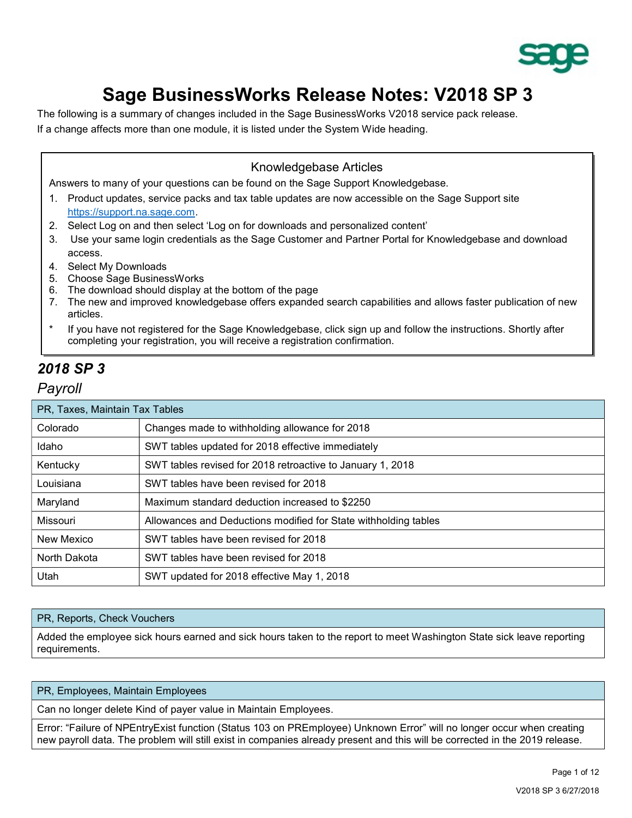

# Sage BusinessWorks Release Notes: V2018 SP 3

The following is a summary of changes included in the Sage BusinessWorks V2018 service pack release. If a change affects more than one module, it is listed under the System Wide heading.

### Knowledgebase Articles

Answers to many of your questions can be found on the Sage Support Knowledgebase.

- 1. Product updates, service packs and tax table updates are now accessible on the Sage Support site https://support.na.sage.com.
- 2. Select Log on and then select 'Log on for downloads and personalized content'
- 3. Use your same login credentials as the Sage Customer and Partner Portal for Knowledgebase and download access.
- 4. Select My Downloads
- 5. Choose Sage BusinessWorks
- 6. The download should display at the bottom of the page
- 7. The new and improved knowledgebase offers expanded search capabilities and allows faster publication of new articles.
- If you have not registered for the Sage Knowledgebase, click sign up and follow the instructions. Shortly after completing your registration, you will receive a registration confirmation.

# 2018 SP 3

### Payroll

| PR, Taxes, Maintain Tax Tables |                                                                 |  |
|--------------------------------|-----------------------------------------------------------------|--|
| Colorado                       | Changes made to withholding allowance for 2018                  |  |
| Idaho                          | SWT tables updated for 2018 effective immediately               |  |
| Kentucky                       | SWT tables revised for 2018 retroactive to January 1, 2018      |  |
| Louisiana                      | SWT tables have been revised for 2018                           |  |
| Maryland                       | Maximum standard deduction increased to \$2250                  |  |
| Missouri                       | Allowances and Deductions modified for State withholding tables |  |
| New Mexico                     | SWT tables have been revised for 2018                           |  |
| North Dakota                   | SWT tables have been revised for 2018                           |  |
| Utah                           | SWT updated for 2018 effective May 1, 2018                      |  |

#### PR, Reports, Check Vouchers

Added the employee sick hours earned and sick hours taken to the report to meet Washington State sick leave reporting requirements.

#### PR, Employees, Maintain Employees

Can no longer delete Kind of payer value in Maintain Employees.

Error: "Failure of NPEntryExist function (Status 103 on PREmployee) Unknown Error" will no longer occur when creating new payroll data. The problem will still exist in companies already present and this will be corrected in the 2019 release.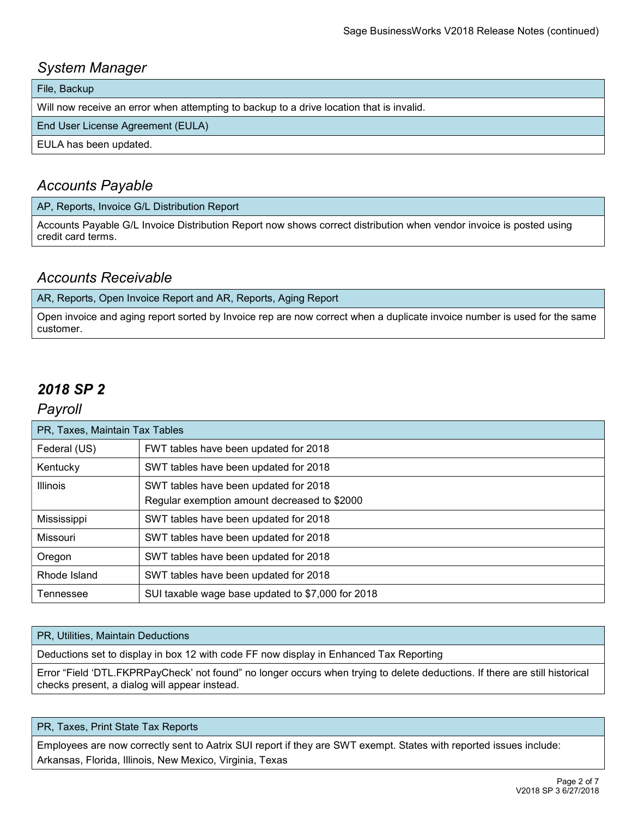# System Manager

File, Backup

Will now receive an error when attempting to backup to a drive location that is invalid.

End User License Agreement (EULA)

EULA has been updated.

# Accounts Payable

#### AP, Reports, Invoice G/L Distribution Report

Accounts Payable G/L Invoice Distribution Report now shows correct distribution when vendor invoice is posted using credit card terms.

### Accounts Receivable

AR, Reports, Open Invoice Report and AR, Reports, Aging Report

Open invoice and aging report sorted by Invoice rep are now correct when a duplicate invoice number is used for the same customer.

# 2018 SP 2

### Payroll

| PR, Taxes, Maintain Tax Tables |                                                   |
|--------------------------------|---------------------------------------------------|
| Federal (US)                   | FWT tables have been updated for 2018             |
| Kentucky                       | SWT tables have been updated for 2018             |
| Illinois                       | SWT tables have been updated for 2018             |
|                                | Regular exemption amount decreased to \$2000      |
| Mississippi                    | SWT tables have been updated for 2018             |
| Missouri                       | SWT tables have been updated for 2018             |
| Oregon                         | SWT tables have been updated for 2018             |
| Rhode Island                   | SWT tables have been updated for 2018             |
| Tennessee                      | SUI taxable wage base updated to \$7,000 for 2018 |

#### PR, Utilities, Maintain Deductions

Deductions set to display in box 12 with code FF now display in Enhanced Tax Reporting

Error "Field 'DTL.FKPRPayCheck' not found" no longer occurs when trying to delete deductions. If there are still historical checks present, a dialog will appear instead.

#### PR, Taxes, Print State Tax Reports

Employees are now correctly sent to Aatrix SUI report if they are SWT exempt. States with reported issues include: Arkansas, Florida, Illinois, New Mexico, Virginia, Texas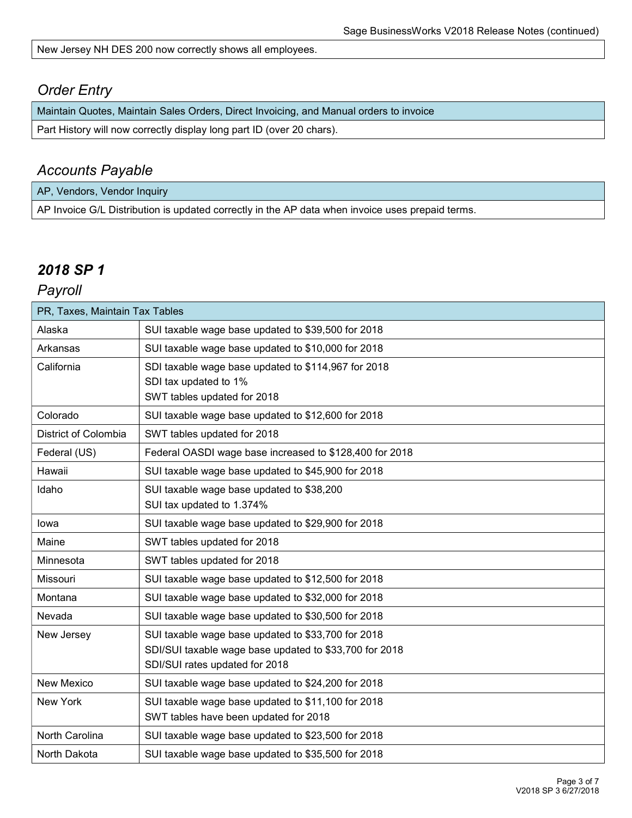New Jersey NH DES 200 now correctly shows all employees.

## Order Entry

Maintain Quotes, Maintain Sales Orders, Direct Invoicing, and Manual orders to invoice

Part History will now correctly display long part ID (over 20 chars).

### Accounts Payable

AP, Vendors, Vendor Inquiry AP Invoice G/L Distribution is updated correctly in the AP data when invoice uses prepaid terms.

# 2018 SP 1

Payroll

| PR, Taxes, Maintain Tax Tables |                                                         |  |
|--------------------------------|---------------------------------------------------------|--|
| Alaska                         | SUI taxable wage base updated to \$39,500 for 2018      |  |
| Arkansas                       | SUI taxable wage base updated to \$10,000 for 2018      |  |
| California                     | SDI taxable wage base updated to \$114,967 for 2018     |  |
|                                | SDI tax updated to 1%                                   |  |
|                                | SWT tables updated for 2018                             |  |
| Colorado                       | SUI taxable wage base updated to \$12,600 for 2018      |  |
| District of Colombia           | SWT tables updated for 2018                             |  |
| Federal (US)                   | Federal OASDI wage base increased to \$128,400 for 2018 |  |
| Hawaii                         | SUI taxable wage base updated to \$45,900 for 2018      |  |
| Idaho                          | SUI taxable wage base updated to \$38,200               |  |
|                                | SUI tax updated to 1.374%                               |  |
| lowa                           | SUI taxable wage base updated to \$29,900 for 2018      |  |
| Maine                          | SWT tables updated for 2018                             |  |
| Minnesota                      | SWT tables updated for 2018                             |  |
| Missouri                       | SUI taxable wage base updated to \$12,500 for 2018      |  |
| Montana                        | SUI taxable wage base updated to \$32,000 for 2018      |  |
| Nevada                         | SUI taxable wage base updated to \$30,500 for 2018      |  |
| New Jersey                     | SUI taxable wage base updated to \$33,700 for 2018      |  |
|                                | SDI/SUI taxable wage base updated to \$33,700 for 2018  |  |
|                                | SDI/SUI rates updated for 2018                          |  |
| New Mexico                     | SUI taxable wage base updated to \$24,200 for 2018      |  |
| New York                       | SUI taxable wage base updated to \$11,100 for 2018      |  |
|                                | SWT tables have been updated for 2018                   |  |
| North Carolina                 | SUI taxable wage base updated to \$23,500 for 2018      |  |
| North Dakota                   | SUI taxable wage base updated to \$35,500 for 2018      |  |
|                                |                                                         |  |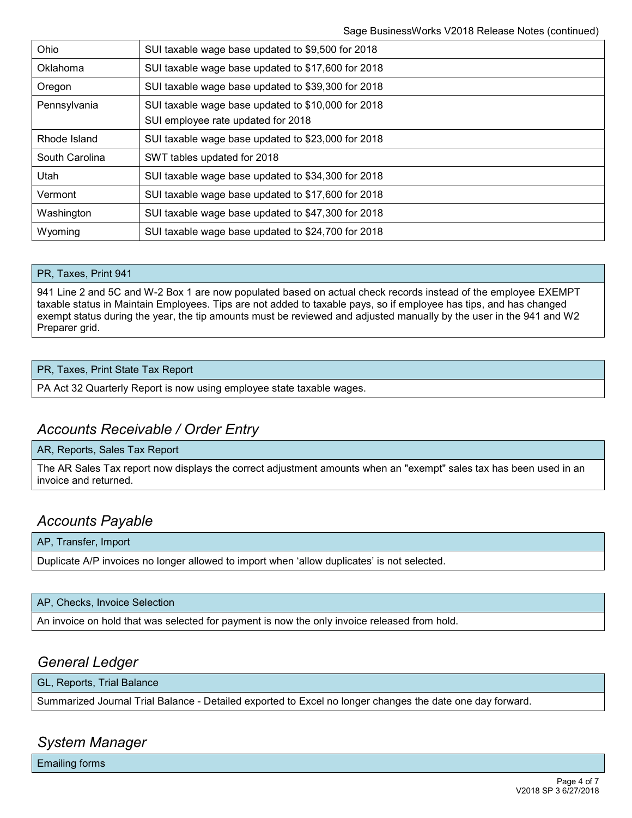| Ohio           | SUI taxable wage base updated to \$9,500 for 2018                                        |
|----------------|------------------------------------------------------------------------------------------|
| Oklahoma       | SUI taxable wage base updated to \$17,600 for 2018                                       |
| Oregon         | SUI taxable wage base updated to \$39,300 for 2018                                       |
| Pennsylvania   | SUI taxable wage base updated to \$10,000 for 2018<br>SUI employee rate updated for 2018 |
| Rhode Island   | SUI taxable wage base updated to \$23,000 for 2018                                       |
| South Carolina | SWT tables updated for 2018                                                              |
| Utah           | SUI taxable wage base updated to \$34,300 for 2018                                       |
| Vermont        | SUI taxable wage base updated to \$17,600 for 2018                                       |
| Washington     | SUI taxable wage base updated to \$47,300 for 2018                                       |
| Wyoming        | SUI taxable wage base updated to \$24,700 for 2018                                       |
|                |                                                                                          |

#### PR, Taxes, Print 941

941 Line 2 and 5C and W-2 Box 1 are now populated based on actual check records instead of the employee EXEMPT taxable status in Maintain Employees. Tips are not added to taxable pays, so if employee has tips, and has changed exempt status during the year, the tip amounts must be reviewed and adjusted manually by the user in the 941 and W2 Preparer grid.

#### PR, Taxes, Print State Tax Report

PA Act 32 Quarterly Report is now using employee state taxable wages.

### Accounts Receivable / Order Entry

#### AR, Reports, Sales Tax Report

The AR Sales Tax report now displays the correct adjustment amounts when an "exempt" sales tax has been used in an invoice and returned.

### Accounts Payable

#### AP, Transfer, Import

Duplicate A/P invoices no longer allowed to import when 'allow duplicates' is not selected.

#### AP, Checks, Invoice Selection

An invoice on hold that was selected for payment is now the only invoice released from hold.

### General Ledger

#### GL, Reports, Trial Balance

Summarized Journal Trial Balance - Detailed exported to Excel no longer changes the date one day forward.

### System Manager

Emailing forms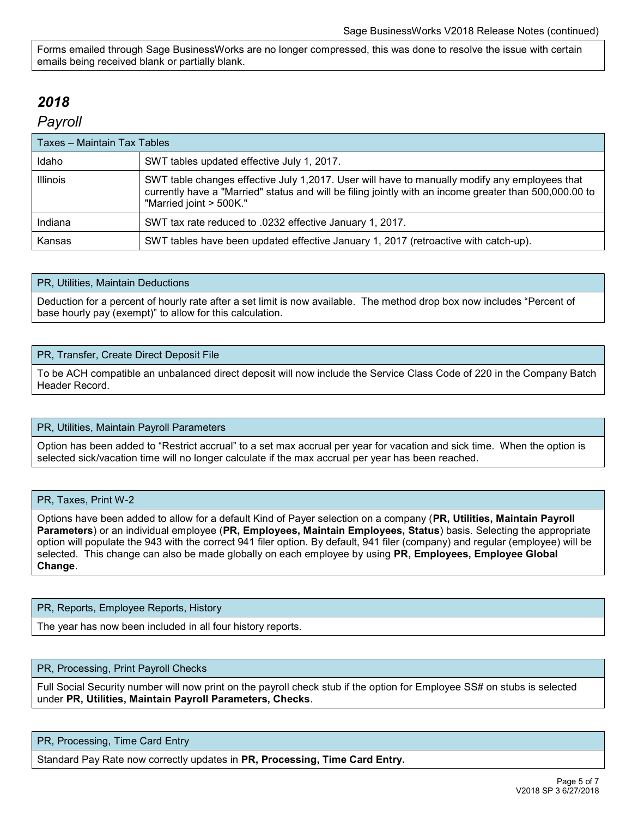Forms emailed through Sage BusinessWorks are no longer compressed, this was done to resolve the issue with certain emails being received blank or partially blank.

# 2018

### Payroll

| Taxes - Maintain Tax Tables |                                                                                                                                                                                                                                    |  |
|-----------------------------|------------------------------------------------------------------------------------------------------------------------------------------------------------------------------------------------------------------------------------|--|
| Idaho                       | SWT tables updated effective July 1, 2017.                                                                                                                                                                                         |  |
| <b>Illinois</b>             | SWT table changes effective July 1,2017. User will have to manually modify any employees that<br>currently have a "Married" status and will be filing jointly with an income greater than 500,000.00 to<br>"Married joint > 500K." |  |
| Indiana                     | SWT tax rate reduced to .0232 effective January 1, 2017.                                                                                                                                                                           |  |
| Kansas                      | SWT tables have been updated effective January 1, 2017 (retroactive with catch-up).                                                                                                                                                |  |

#### PR, Utilities, Maintain Deductions

Deduction for a percent of hourly rate after a set limit is now available. The method drop box now includes "Percent of base hourly pay (exempt)" to allow for this calculation.

#### PR, Transfer, Create Direct Deposit File

To be ACH compatible an unbalanced direct deposit will now include the Service Class Code of 220 in the Company Batch Header Record.

#### PR, Utilities, Maintain Payroll Parameters

Option has been added to "Restrict accrual" to a set max accrual per year for vacation and sick time. When the option is selected sick/vacation time will no longer calculate if the max accrual per year has been reached.

#### PR, Taxes, Print W-2

Options have been added to allow for a default Kind of Payer selection on a company (PR, Utilities, Maintain Payroll Parameters) or an individual employee (PR, Employees, Maintain Employees, Status) basis. Selecting the appropriate option will populate the 943 with the correct 941 filer option. By default, 941 filer (company) and regular (employee) will be selected. This change can also be made globally on each employee by using PR, Employees, Employee Global Change.

#### PR, Reports, Employee Reports, History

The year has now been included in all four history reports.

#### PR, Processing, Print Payroll Checks

Full Social Security number will now print on the payroll check stub if the option for Employee SS# on stubs is selected under PR, Utilities, Maintain Payroll Parameters, Checks.

#### PR, Processing, Time Card Entry

Standard Pay Rate now correctly updates in PR, Processing, Time Card Entry.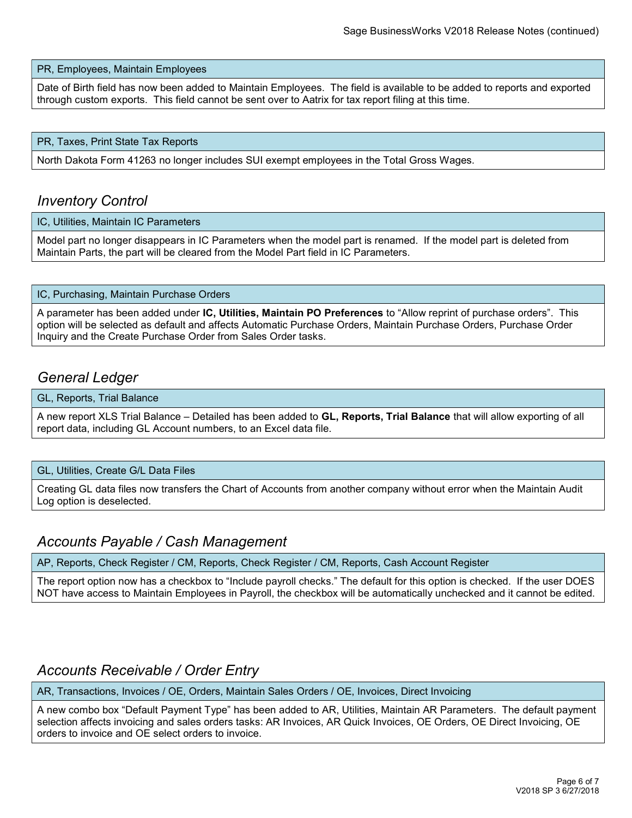#### PR, Employees, Maintain Employees

Date of Birth field has now been added to Maintain Employees. The field is available to be added to reports and exported through custom exports. This field cannot be sent over to Aatrix for tax report filing at this time.

#### PR, Taxes, Print State Tax Reports

North Dakota Form 41263 no longer includes SUI exempt employees in the Total Gross Wages.

### Inventory Control

IC, Utilities, Maintain IC Parameters

Model part no longer disappears in IC Parameters when the model part is renamed. If the model part is deleted from Maintain Parts, the part will be cleared from the Model Part field in IC Parameters.

#### IC, Purchasing, Maintain Purchase Orders

A parameter has been added under IC, Utilities, Maintain PO Preferences to "Allow reprint of purchase orders". This option will be selected as default and affects Automatic Purchase Orders, Maintain Purchase Orders, Purchase Order Inquiry and the Create Purchase Order from Sales Order tasks.

### General Ledger

#### GL, Reports, Trial Balance

A new report XLS Trial Balance – Detailed has been added to GL, Reports, Trial Balance that will allow exporting of all report data, including GL Account numbers, to an Excel data file.

#### GL, Utilities, Create G/L Data Files

Creating GL data files now transfers the Chart of Accounts from another company without error when the Maintain Audit Log option is deselected.

### Accounts Payable / Cash Management

AP, Reports, Check Register / CM, Reports, Check Register / CM, Reports, Cash Account Register

The report option now has a checkbox to "Include payroll checks." The default for this option is checked. If the user DOES NOT have access to Maintain Employees in Payroll, the checkbox will be automatically unchecked and it cannot be edited.

### Accounts Receivable / Order Entry

AR, Transactions, Invoices / OE, Orders, Maintain Sales Orders / OE, Invoices, Direct Invoicing

A new combo box "Default Payment Type" has been added to AR, Utilities, Maintain AR Parameters. The default payment selection affects invoicing and sales orders tasks: AR Invoices, AR Quick Invoices, OE Orders, OE Direct Invoicing, OE orders to invoice and OE select orders to invoice.